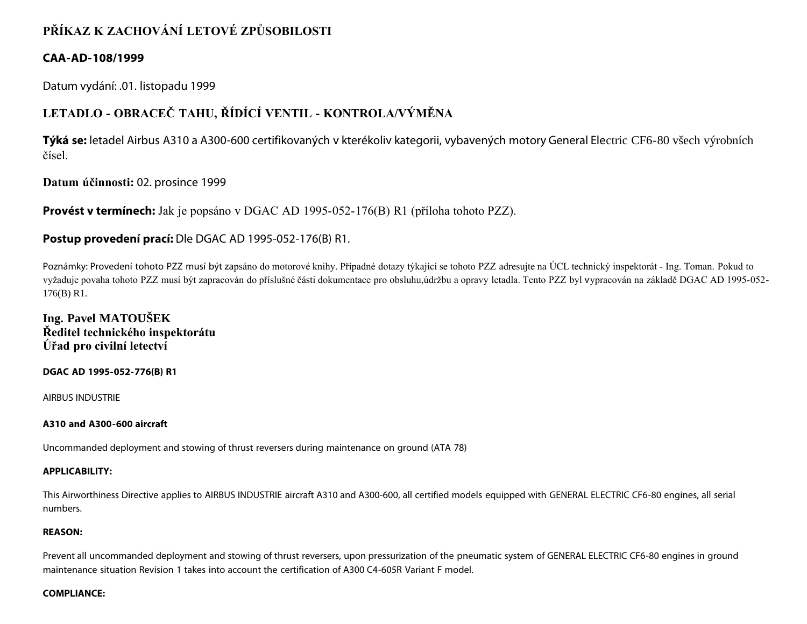## **PŘÍKAZ K ZACHOVÁNÍ LETOVÉ ZPŮSOBILOSTI**

## **CAA-AD-108/1999**

Datum vydání: .01. listopadu 1999

# **LETADLO - OBRACEČ TAHU, ŘÍDÍCÍ VENTIL - KONTROLA/VÝMĚNA**

**Týká se:** letadel Airbus A310 a A300-600 certifikovaných v kterékoliv kategorii, vybavených motory General Electric CF6-80 všech výrobních čísel.

**Datum účinnosti:** 02. prosince 1999

**Provést v termínech:** Jak je popsáno v DGAC AD 1995-052-176(B) R1 (příloha tohoto PZZ).

## **Postup provedení prací:** Dle DGAC AD 1995-052-176(B) R1.

Poznámky: Provedení tohoto PZZ musí být zapsáno do motorové knihy. Případné dotazy týkající se tohoto PZZ adresujte na ÚCL technický inspektorát - Ing. Toman. Pokud to vyžaduje povaha tohoto PZZ musí být zapracován do příslušné části dokumentace pro obsluhu,údržbu a opravy letadla. Tento PZZ byl vypracován na základě DGAC AD 1995-052- 176(B) R1.

**Ing. Pavel MATOUŠEK Ředitel technického inspektorátu Úřad pro civilní letectví**

**DGAC AD 1995-052-776(B) R1**

AIRBUS INDUSTRIE

#### **A310 and A300-600 aircraft**

Uncommanded deployment and stowing of thrust reversers during maintenance on ground (ATA 78)

#### **APPLICABILITY:**

This Airworthiness Directive applies to AIRBUS INDUSTRIE aircraft A310 and A300-600, all certified models equipped with GENERAL ELECTRIC CF6-80 engines, all serial numbers.

#### **REASON:**

Prevent all uncommanded deployment and stowing of thrust reversers, upon pressurization of the pneumatic system of GENERAL ELECTRIC CF6-80 engines in ground maintenance situation Revision 1 takes into account the certification of A300 C4-605R Variant F model.

#### **COMPLIANCE:**